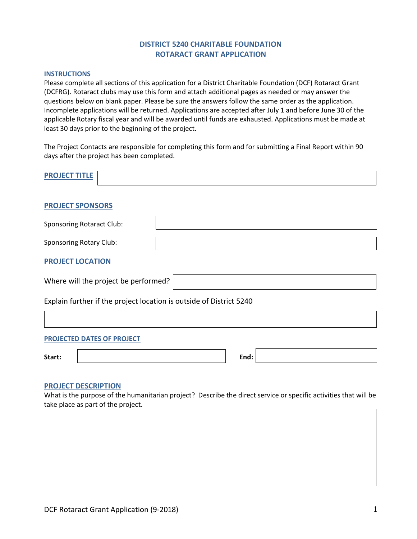# **DISTRICT 5240 CHARITABLE FOUNDATION ROTARACT GRANT APPLICATION**

#### **INSTRUCTIONS**

Please complete all sections of this application for a District Charitable Foundation (DCF) Rotaract Grant (DCFRG). Rotaract clubs may use this form and attach additional pages as needed or may answer the questions below on blank paper. Please be sure the answers follow the same order as the application. Incomplete applications will be returned. Applications are accepted after July 1 and before June 30 of the applicable Rotary fiscal year and will be awarded until funds are exhausted. Applications must be made at least 30 days prior to the beginning of the project.

The Project Contacts are responsible for completing this form and for submitting a Final Report within 90 days after the project has been completed.

| <b>PROJECT TITLE</b>                                                |      |
|---------------------------------------------------------------------|------|
| <b>PROJECT SPONSORS</b>                                             |      |
| <b>Sponsoring Rotaract Club:</b>                                    |      |
| <b>Sponsoring Rotary Club:</b>                                      |      |
| <b>PROJECT LOCATION</b>                                             |      |
| Where will the project be performed?                                |      |
| Explain further if the project location is outside of District 5240 |      |
|                                                                     |      |
| <b>PROJECTED DATES OF PROJECT</b>                                   |      |
| Start:                                                              | End: |

#### **PROJECT DESCRIPTION**

What is the purpose of the humanitarian project? Describe the direct service or specific activities that will be take place as part of the project.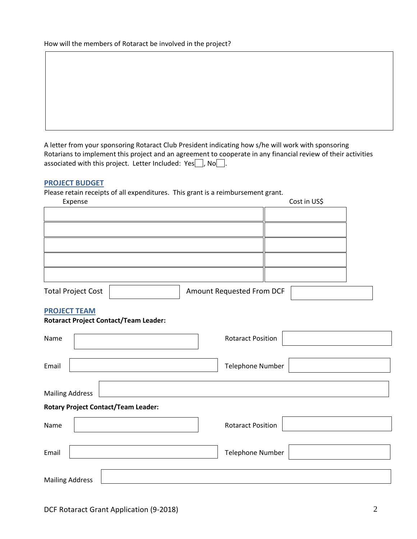How will the members of Rotaract be involved in the project?

A letter from your sponsoring Rotaract Club President indicating how s/he will work with sponsoring Rotarians to implement this project and an agreement to cooperate in any financial review of their activities associated with this project. Letter Included: Yes , No ...

### **PROJECT BUDGET**

Please retain receipts of all expenditures. This grant is a reimbursement grant.

| Expense                   |                           | Cost in US\$ |
|---------------------------|---------------------------|--------------|
|                           |                           |              |
|                           |                           |              |
|                           |                           |              |
|                           |                           |              |
|                           |                           |              |
| <b>Total Project Cost</b> | Amount Requested From DCF |              |

### **PROJECT TEAM**

### **Rotaract Project Contact/Team Leader:**

| Name                                       |  | <b>Rotaract Position</b> |  |  |  |
|--------------------------------------------|--|--------------------------|--|--|--|
| Email                                      |  | Telephone Number         |  |  |  |
| <b>Mailing Address</b>                     |  |                          |  |  |  |
| <b>Rotary Project Contact/Team Leader:</b> |  |                          |  |  |  |
| Name                                       |  | <b>Rotaract Position</b> |  |  |  |
| Email                                      |  | Telephone Number         |  |  |  |
| <b>Mailing Address</b>                     |  |                          |  |  |  |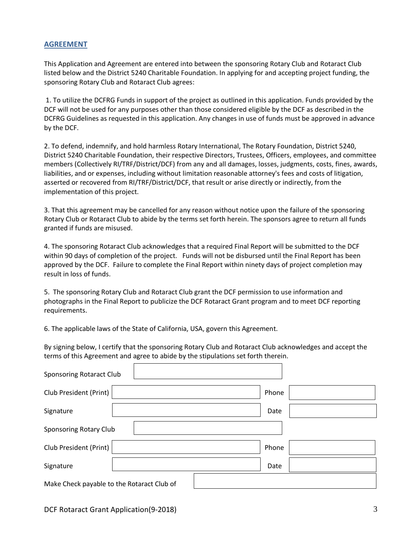## **AGREEMENT**

This Application and Agreement are entered into between the sponsoring Rotary Club and Rotaract Club listed below and the District 5240 Charitable Foundation. In applying for and accepting project funding, the sponsoring Rotary Club and Rotaract Club agrees:

1. To utilize the DCFRG Funds in support of the project as outlined in this application. Funds provided by the DCF will not be used for any purposes other than those considered eligible by the DCF as described in the DCFRG Guidelines as requested in this application. Any changes in use of funds must be approved in advance by the DCF.

2. To defend, indemnify, and hold harmless Rotary International, The Rotary Foundation, District 5240, District 5240 Charitable Foundation, their respective Directors, Trustees, Officers, employees, and committee members (Collectively RI/TRF/District/DCF) from any and all damages, losses, judgments, costs, fines, awards, liabilities, and or expenses, including without limitation reasonable attorney's fees and costs of litigation, asserted or recovered from RI/TRF/District/DCF, that result or arise directly or indirectly, from the implementation of this project.

3. That this agreement may be cancelled for any reason without notice upon the failure of the sponsoring Rotary Club or Rotaract Club to abide by the terms set forth herein. The sponsors agree to return all funds granted if funds are misused.

4. The sponsoring Rotaract Club acknowledges that a required Final Report will be submitted to the DCF within 90 days of completion of the project. Funds will not be disbursed until the Final Report has been approved by the DCF. Failure to complete the Final Report within ninety days of project completion may result in loss of funds.

5. The sponsoring Rotary Club and Rotaract Club grant the DCF permission to use information and photographs in the Final Report to publicize the DCF Rotaract Grant program and to meet DCF reporting requirements.

6. The applicable laws of the State of California, USA, govern this Agreement.

By signing below, I certify that the sponsoring Rotary Club and Rotaract Club acknowledges and accept the terms of this Agreement and agree to abide by the stipulations set forth therein.

| Sponsoring Rotaract Club                   |       |  |  |
|--------------------------------------------|-------|--|--|
| Club President (Print)                     | Phone |  |  |
| Signature                                  | Date  |  |  |
| Sponsoring Rotary Club                     |       |  |  |
| Club President (Print)                     | Phone |  |  |
| Signature                                  | Date  |  |  |
| Make Check payable to the Rotaract Club of |       |  |  |